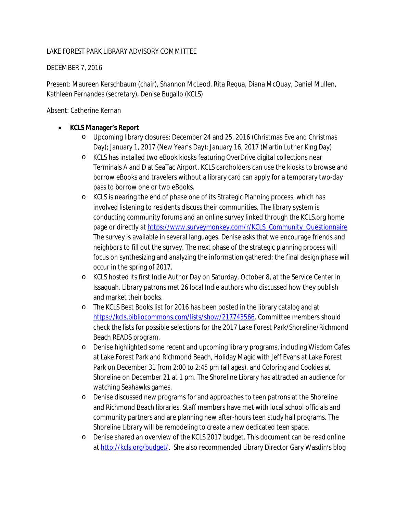## LAKE FOREST PARK LIBRARY ADVISORY COMMITTEE

#### DECEMBER 7, 2016

Present: Maureen Kerschbaum (chair), Shannon McLeod, Rita Requa, Diana McQuay, Daniel Mullen, Kathleen Fernandes (secretary), Denise Bugallo (KCLS)

Absent: Catherine Kernan

# **KCLS Manager's Report**

- o Upcoming library closures: December 24 and 25, 2016 (Christmas Eve and Christmas Day); January 1, 2017 (New Year's Day); January 16, 2017 (Martin Luther King Day)
- o KCLS has installed two eBook kiosks featuring OverDrive digital collections near Terminals A and D at SeaTac Airport. KCLS cardholders can use the kiosks to browse and borrow eBooks and travelers without a library card can apply for a temporary two-day pass to borrow one or two eBooks.
- o KCLS is nearing the end of phase one of its Strategic Planning process, which has involved listening to residents discuss their communities. The library system is conducting community forums and an online survey linked through the KCLS.org home page or directly at [https://www.surveymonkey.com/r/KCLS\\_Community\\_Questionnaire](https://www.surveymonkey.com/r/KCLS_Community_Questionnaire) The survey is available in several languages. Denise asks that we encourage friends and neighbors to fill out the survey. The next phase of the strategic planning process will focus on synthesizing and analyzing the information gathered; the final design phase will occur in the spring of 2017.
- o KCLS hosted its first Indie Author Day on Saturday, October 8, at the Service Center in Issaquah. Library patrons met 26 local Indie authors who discussed how they publish and market their books.
- o The KCLS Best Books list for 2016 has been posted in the library catalog and at [https://kcls.bibliocommons.com/lists/show/217743566.](https://kcls.bibliocommons.com/lists/show/217743566) Committee members should check the lists for possible selections for the 2017 Lake Forest Park/Shoreline/Richmond Beach READS program.
- o Denise highlighted some recent and upcoming library programs, including Wisdom Cafes at Lake Forest Park and Richmond Beach, Holiday Magic with Jeff Evans at Lake Forest Park on December 31 from 2:00 to 2:45 pm (all ages), and Coloring and Cookies at Shoreline on December 21 at 1 pm. The Shoreline Library has attracted an audience for watching Seahawks games.
- o Denise discussed new programs for and approaches to teen patrons at the Shoreline and Richmond Beach libraries. Staff members have met with local school officials and community partners and are planning new after-hours teen study hall programs. The Shoreline Library will be remodeling to create a new dedicated teen space.
- o Denise shared an overview of the KCLS 2017 budget. This document can be read online at<http://kcls.org/budget/>. She also recommended Library Director Gary Wasdin's blog